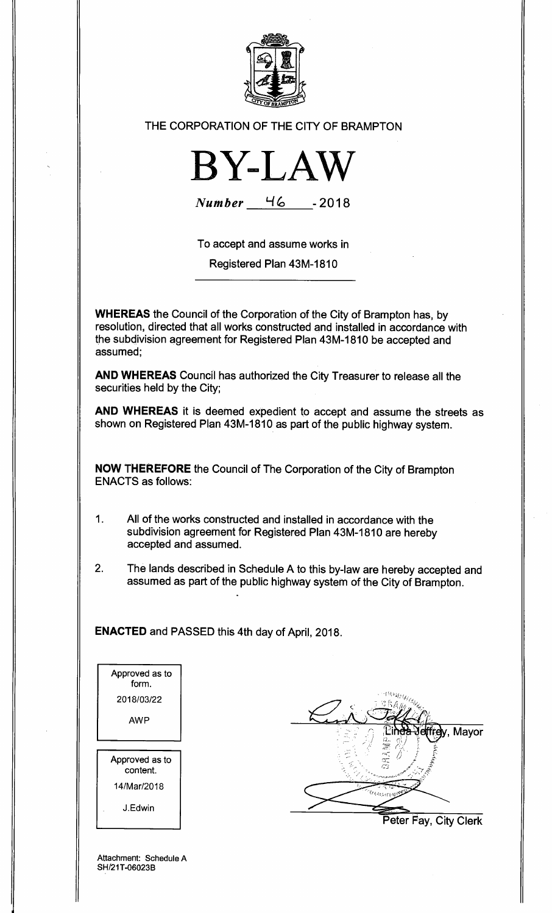

## THE CORPORATION OF THE CITY OF BRAMPTON



**Number I-***<sup>16</sup>* **-2018** 

To accept and assume works in

Registered Plan 43M-1810

**WHEREAS** the Council of the Corporation of the City of Brampton has, by resolution, directed that all works constructed and installed in accordance with the subdivision agreement for Registered Plan 43M-1810 be accepted and assumed;

**AND WHEREAS** Council has authorized the City Treasurer to release all the securities held by the City;

**AND WHEREAS** it is deemed expedient to accept and assume the streets as shown on Registered Plan 43M-1810 as part of the public highway system.

**NOW THEREFORE** the Council of The Corporation of the City of Brampton ENACTS as follows:

- 1. All of the works constructed and installed in accordance with the subdivision agreement for Registered Plan 43M-1810 are hereby accepted and assumed.
- 2. The lands described in Schedule A to this by-law are hereby accepted and assumed as part of the public highway system of the City of Brampton.

**ENACTED** and PASSED this 4th day of April, 2018.

Approved as to form. 2018/03/22 AWP Approved as to content. 14/Mar/2018 J.Edwin



Attachment: Schedule A SH/21T-06023B